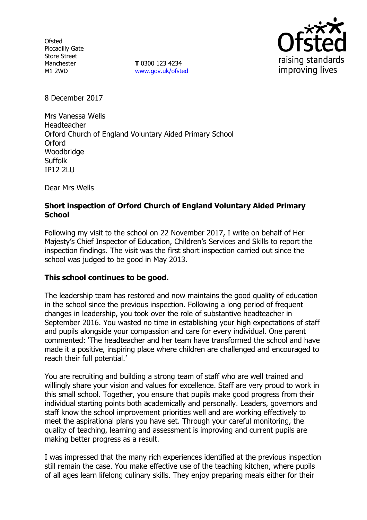**Ofsted** Piccadilly Gate Store Street Manchester M1 2WD

**T** 0300 123 4234 www.gov.uk/ofsted



8 December 2017

Mrs Vanessa Wells Headteacher Orford Church of England Voluntary Aided Primary School **Orford** Woodbridge **Suffolk** IP12 2LU

Dear Mrs Wells

# **Short inspection of Orford Church of England Voluntary Aided Primary School**

Following my visit to the school on 22 November 2017, I write on behalf of Her Majesty's Chief Inspector of Education, Children's Services and Skills to report the inspection findings. The visit was the first short inspection carried out since the school was judged to be good in May 2013.

### **This school continues to be good.**

The leadership team has restored and now maintains the good quality of education in the school since the previous inspection. Following a long period of frequent changes in leadership, you took over the role of substantive headteacher in September 2016. You wasted no time in establishing your high expectations of staff and pupils alongside your compassion and care for every individual. One parent commented: 'The headteacher and her team have transformed the school and have made it a positive, inspiring place where children are challenged and encouraged to reach their full potential.'

You are recruiting and building a strong team of staff who are well trained and willingly share your vision and values for excellence. Staff are very proud to work in this small school. Together, you ensure that pupils make good progress from their individual starting points both academically and personally. Leaders, governors and staff know the school improvement priorities well and are working effectively to meet the aspirational plans you have set. Through your careful monitoring, the quality of teaching, learning and assessment is improving and current pupils are making better progress as a result.

I was impressed that the many rich experiences identified at the previous inspection still remain the case. You make effective use of the teaching kitchen, where pupils of all ages learn lifelong culinary skills. They enjoy preparing meals either for their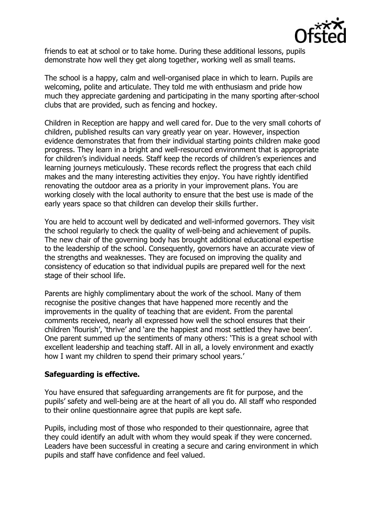

friends to eat at school or to take home. During these additional lessons, pupils demonstrate how well they get along together, working well as small teams.

The school is a happy, calm and well-organised place in which to learn. Pupils are welcoming, polite and articulate. They told me with enthusiasm and pride how much they appreciate gardening and participating in the many sporting after-school clubs that are provided, such as fencing and hockey.

Children in Reception are happy and well cared for. Due to the very small cohorts of children, published results can vary greatly year on year. However, inspection evidence demonstrates that from their individual starting points children make good progress. They learn in a bright and well-resourced environment that is appropriate for children's individual needs. Staff keep the records of children's experiences and learning journeys meticulously. These records reflect the progress that each child makes and the many interesting activities they enjoy. You have rightly identified renovating the outdoor area as a priority in your improvement plans. You are working closely with the local authority to ensure that the best use is made of the early years space so that children can develop their skills further.

You are held to account well by dedicated and well-informed governors. They visit the school regularly to check the quality of well-being and achievement of pupils. The new chair of the governing body has brought additional educational expertise to the leadership of the school. Consequently, governors have an accurate view of the strengths and weaknesses. They are focused on improving the quality and consistency of education so that individual pupils are prepared well for the next stage of their school life.

Parents are highly complimentary about the work of the school. Many of them recognise the positive changes that have happened more recently and the improvements in the quality of teaching that are evident. From the parental comments received, nearly all expressed how well the school ensures that their children 'flourish', 'thrive' and 'are the happiest and most settled they have been'. One parent summed up the sentiments of many others: 'This is a great school with excellent leadership and teaching staff. All in all, a lovely environment and exactly how I want my children to spend their primary school years.'

### **Safeguarding is effective.**

You have ensured that safeguarding arrangements are fit for purpose, and the pupils' safety and well-being are at the heart of all you do. All staff who responded to their online questionnaire agree that pupils are kept safe.

Pupils, including most of those who responded to their questionnaire, agree that they could identify an adult with whom they would speak if they were concerned. Leaders have been successful in creating a secure and caring environment in which pupils and staff have confidence and feel valued.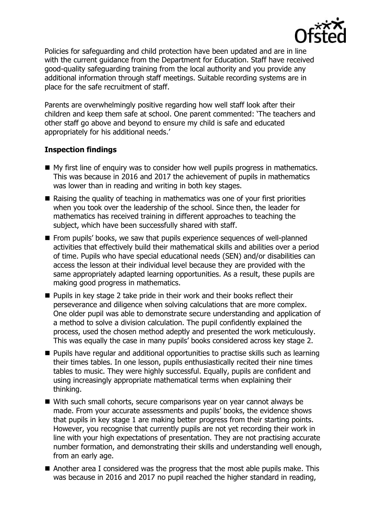

Policies for safeguarding and child protection have been updated and are in line with the current guidance from the Department for Education. Staff have received good-quality safeguarding training from the local authority and you provide any additional information through staff meetings. Suitable recording systems are in place for the safe recruitment of staff.

Parents are overwhelmingly positive regarding how well staff look after their children and keep them safe at school. One parent commented: 'The teachers and other staff go above and beyond to ensure my child is safe and educated appropriately for his additional needs.'

## **Inspection findings**

- My first line of enguiry was to consider how well pupils progress in mathematics. This was because in 2016 and 2017 the achievement of pupils in mathematics was lower than in reading and writing in both key stages.
- Raising the quality of teaching in mathematics was one of your first priorities when you took over the leadership of the school. Since then, the leader for mathematics has received training in different approaches to teaching the subject, which have been successfully shared with staff.
- **From pupils' books, we saw that pupils experience sequences of well-planned** activities that effectively build their mathematical skills and abilities over a period of time. Pupils who have special educational needs (SEN) and/or disabilities can access the lesson at their individual level because they are provided with the same appropriately adapted learning opportunities. As a result, these pupils are making good progress in mathematics.
- **Pupils in key stage 2 take pride in their work and their books reflect their** perseverance and diligence when solving calculations that are more complex. One older pupil was able to demonstrate secure understanding and application of a method to solve a division calculation. The pupil confidently explained the process, used the chosen method adeptly and presented the work meticulously. This was equally the case in many pupils' books considered across key stage 2.
- **Pupils have regular and additional opportunities to practise skills such as learning** their times tables. In one lesson, pupils enthusiastically recited their nine times tables to music. They were highly successful. Equally, pupils are confident and using increasingly appropriate mathematical terms when explaining their thinking.
- With such small cohorts, secure comparisons year on year cannot always be made. From your accurate assessments and pupils' books, the evidence shows that pupils in key stage 1 are making better progress from their starting points. However, you recognise that currently pupils are not yet recording their work in line with your high expectations of presentation. They are not practising accurate number formation, and demonstrating their skills and understanding well enough, from an early age.
- Another area I considered was the progress that the most able pupils make. This was because in 2016 and 2017 no pupil reached the higher standard in reading,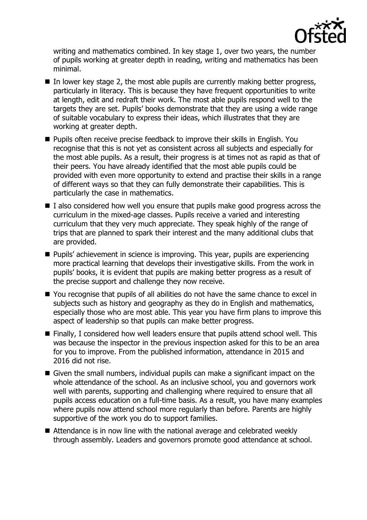

writing and mathematics combined. In key stage 1, over two years, the number of pupils working at greater depth in reading, writing and mathematics has been minimal.

- $\blacksquare$  In lower key stage 2, the most able pupils are currently making better progress, particularly in literacy. This is because they have frequent opportunities to write at length, edit and redraft their work. The most able pupils respond well to the targets they are set. Pupils' books demonstrate that they are using a wide range of suitable vocabulary to express their ideas, which illustrates that they are working at greater depth.
- **Pupils often receive precise feedback to improve their skills in English. You** recognise that this is not yet as consistent across all subjects and especially for the most able pupils. As a result, their progress is at times not as rapid as that of their peers. You have already identified that the most able pupils could be provided with even more opportunity to extend and practise their skills in a range of different ways so that they can fully demonstrate their capabilities. This is particularly the case in mathematics.
- $\blacksquare$  I also considered how well you ensure that pupils make good progress across the curriculum in the mixed-age classes. Pupils receive a varied and interesting curriculum that they very much appreciate. They speak highly of the range of trips that are planned to spark their interest and the many additional clubs that are provided.
- **Pupils'** achievement in science is improving. This year, pupils are experiencing more practical learning that develops their investigative skills. From the work in pupils' books, it is evident that pupils are making better progress as a result of the precise support and challenge they now receive.
- You recognise that pupils of all abilities do not have the same chance to excel in subjects such as history and geography as they do in English and mathematics, especially those who are most able. This year you have firm plans to improve this aspect of leadership so that pupils can make better progress.
- Finally, I considered how well leaders ensure that pupils attend school well. This was because the inspector in the previous inspection asked for this to be an area for you to improve. From the published information, attendance in 2015 and 2016 did not rise.
- Given the small numbers, individual pupils can make a significant impact on the whole attendance of the school. As an inclusive school, you and governors work well with parents, supporting and challenging where required to ensure that all pupils access education on a full-time basis. As a result, you have many examples where pupils now attend school more regularly than before. Parents are highly supportive of the work you do to support families.
- Attendance is in now line with the national average and celebrated weekly through assembly. Leaders and governors promote good attendance at school.